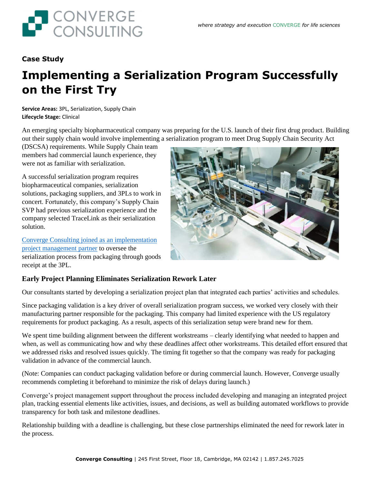

## **Case Study**

# **Implementing a Serialization Program Successfully on the First Try**

**Service Areas:** 3PL, Serialization, Supply Chain **Lifecycle Stage:** Clinical

An emerging specialty biopharmaceutical company was preparing for the U.S. launch of their first drug product. Building out their supply chain would involve implementing a serialization program to meet Drug Supply Chain Security Act

(DSCSA) requirements. While Supply Chain team members had commercial launch experience, they were not as familiar with serialization.

A successful serialization program requires biopharmaceutical companies, serialization solutions, packaging suppliers, and 3PLs to work in concert. Fortunately, this company's Supply Chain SVP had previous serialization experience and the company selected TraceLink as their serialization solution.

[Converge Consulting joined as an implementation](https://convergeconsulting.com/info-sheet-serialization-execution/)  [project management partner](https://convergeconsulting.com/info-sheet-serialization-execution/) to oversee the serialization process from packaging through goods receipt at the 3PL.



## **Early Project Planning Eliminates Serialization Rework Later**

Our consultants started by developing a serialization project plan that integrated each parties' activities and schedules.

Since packaging validation is a key driver of overall serialization program success, we worked very closely with their manufacturing partner responsible for the packaging. This company had limited experience with the US regulatory requirements for product packaging. As a result, aspects of this serialization setup were brand new for them.

We spent time building alignment between the different workstreams – clearly identifying what needed to happen and when, as well as communicating how and why these deadlines affect other workstreams. This detailed effort ensured that we addressed risks and resolved issues quickly. The timing fit together so that the company was ready for packaging validation in advance of the commercial launch.

(Note: Companies can conduct packaging validation before or during commercial launch. However, Converge usually recommends completing it beforehand to minimize the risk of delays during launch.)

Converge's project management support throughout the process included developing and managing an integrated project plan, tracking essential elements like activities, issues, and decisions, as well as building automated workflows to provide transparency for both task and milestone deadlines.

Relationship building with a deadline is challenging, but these close partnerships eliminated the need for rework later in the process.